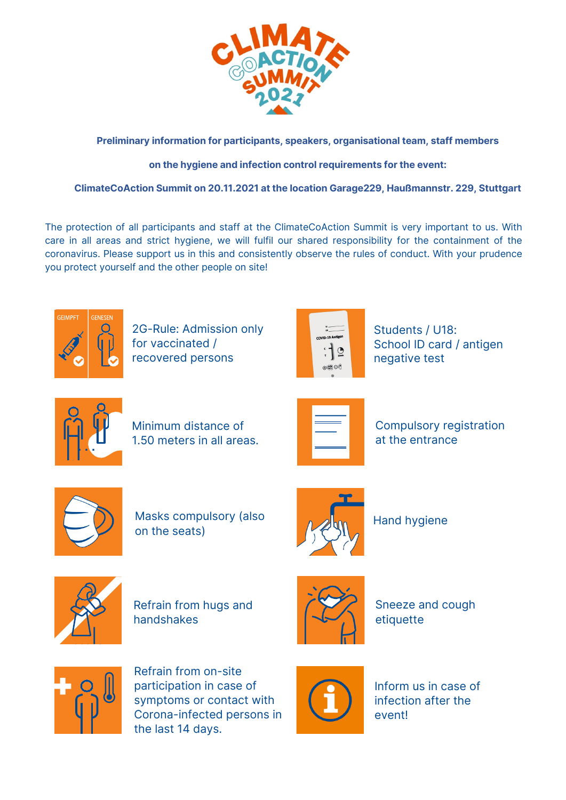

# **Preliminary information for participants, speakers, organisational team, staff members**

# **on the hygiene and infection control requirements for the event:**

# **ClimateCoAction Summit on 20.11.2021 at the location Garage229, Haußmannstr. 229, Stuttgart**

The protection of all participants and staff at the ClimateCoAction Summit is very important to us. With care in all areas and strict hygiene, we will fulfil our shared responsibility for the containment of the coronavirus. Please support us in this and consistently observe the rules of conduct. With your prudence you protect yourself and the other people on site!



2G-Rule: Admission only for vaccinated / recovered persons



Students / U18: School ID card / antigen negative test



Minimum distance of 1.50 meters in all areas.



Compulsory registration at the entrance



Masks compulsory (also **And Algorithm Addarrangement** Hand hygiene on the seats)





Refrain from hugs and handshakes



Sneeze and cough etiquette



Refrain from on-site participation in case of symptoms or contact with Corona-infected persons in the last 14 days.



Inform us in case of infection after the event!